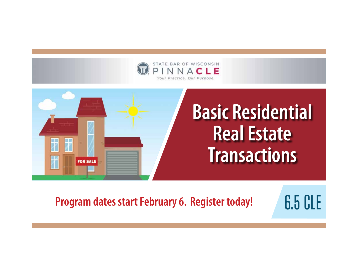



**Program dates start February 6. Register today!** 6.5 CLE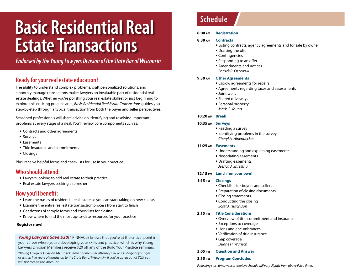# **Basic Residential Real Estate Transactions**

*Endorsed by the Young Lawyers Division of the State Bar of Wisconsin*

# **Ready for your real estate education?**

The ability to understand complex problems, craft personalized solutions, and smoothly manage transactions makes lawyers an invaluable part of residential real estate dealings. Whether you're polishing your real estate skillset or just beginning to explore this enticing practice area, *Basic Residential Real Estate Transactions* guides you step-by-step through a typical transaction from both the buyer and seller perspectives.

Seasoned professionals will share advice on identifying and resolving important problems at every stage of a deal. You'll review core components such as:

- Contracts and other agreements
- Surveys
- Easements
- Title insurance and commitments
- Closings

Plus, receive helpful forms and checklists for use in your practice.

# **Who should attend:**

- Lawyers looking to add real estate to their practice
- Real estate lawyers seeking a refresher

# **How you'll benefit:**

- Learn the basics of residential real estate so you can start taking on new clients
- Examine the entire real estate transaction process from start to finish
- Get dozens of sample forms and checklists for closing
- Know where to find the most up-to-date resources for your practice

#### **Register now!**

**Young Lawyers Save \$20!** \* PINNACLE knows that you're at the critical point in your career where you're developing your skills and practice, which is why Young Lawyers Division Members receive \$20 off any of the Build Your Practice seminars.

*\*Young Lawyers Division Members: State Bar member attorneys 36 years of age or younger or within five years of admission to the State Bar of Wisconsin. If you've opted out of YLD, you will not receive this discount.*

# **Schedule**

#### **8:00 am Registration**

#### **8:30 am Contracts**

- Listing contracts, agency agreements and for sale by owner
- Drafting the offer
- Contingencies
- Responding to an offer
- Amendments and notices *Patrick R. Oszewski*

#### **9:30 am Other Agreements**

- Escrow agreements for repairs
- Agreements regarding taxes and assessments
- Joint wells
- Shared driveways
- Personal property
- *Mark C. Young*

#### **10:20 am Break**

#### **10:35 am Surveys**

- Reading a survey
- Identifying problems in the survey *Cheryl A. Hipenbecker*

#### **11:25 am Easements**

- Understanding and explaining easements
- Negotiating easements
- Drafting easements
- *Jessica J. Shrestha*

#### **12:15 pm Lunch (on your own)**

#### **1:15 pm Closings**

- Checklists for buyers and sellers
- Preparation of closing documents
- Closing statements
- Conducting the closing *Scott J. Hutchison*

#### **2:15 pm Title Considerations**

- Overview of title commitment and insurance
- Exceptions to coverage
- Liens and encumbrances
- Verification of title insurance
- Gap coverage *Duane H. Wunsch*

#### **3:05 pm Question and Answer**

#### **3:15 pm Program Concludes**

*Following start time, webcast replay schedule will vary slightly from above listed times.*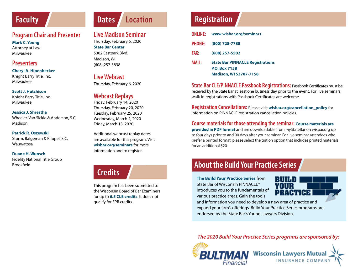# **Faculty**

# **Program Chair and Presenter**

**Mark C. Young**  Attorney at Law Milwaukee

# **Presenters**

#### **Cheryl A. Hipenbecker** Knight Barry Title, Inc. Milwaukee

#### **Scott J. Hutchison**

Knight Barry Title, Inc. Milwaukee

#### **Jessica J. Shrestha**

Wheeler, Van Sickle & Anderson, S.C. Madison

#### **Patrick R. Oszewski**

Storm, Balgeman & Klippel, S.C. Wauwatosa

#### **Duane H. Wunsch**

Fidelity National Title Group Brookfield

# **Dates Location**

# **Live Madison Seminar**

Thursday, February 6, 2020 **State Bar Center** 5302 Eastpark Blvd. Madison, WI (608) 257-3838

## **Live Webcast**

Thursday, February 6, 2020

# **Webcast Replays**

Friday, February 14, 2020 Thursday, February 20, 2020 Tuesday, February 25, 2020 Wednesday, March 4, 2020 Friday, March 13, 2020

Additional webcast replay dates are available for this program. Visit **wisbar.org/seminars** for more

# **Credits**

This program has been submitted to the Wisconsin Board of Bar Examiners for up to **6.5 CLE credits**. It does not qualify for EPR credits.

# **Registration**

|               | <b>ONLINE:</b> www.wisbar.org/seminars  |
|---------------|-----------------------------------------|
| <b>PHONE:</b> | (800) 728-7788                          |
| <b>FAX:</b>   | (608) 257-5502                          |
| <b>MAIL:</b>  | <b>State Bar PINNACLE Registrations</b> |
|               | <b>P.O. Box 7158</b>                    |
|               | <b>Madison, WI 53707-7158</b>           |

**State Bar CLE/PINNACLE Passbook Registrations:** Passbook Certificates must be received by the State Bar at least one business day prior to the event. For live seminars, walk-in registrations with Passbook Certificates are welcome.

**Registration Cancellations:** Please visit **wisbar.org/cancellation\_policy** for information on PINNACLE registration cancellation policies.

### **Course materials for those attending the seminar: Course materials are**

**provided in PDF format** and are downloadable from *my*StateBar on wisbar.org up to four days prior to and 90 days after your seminar. For live seminar attendees who prefer a printed format, please select the tuition option that includes printed materials for an additional \$20.

# **About the Build Your Practice Series**

**The Build Your Practice Series** from State Bar of Wisconsin PINNACLE® introduces you to the fundamentals of various practice areas. Gain the tools



and information you need to develop a new area of practice and expand your firm's offerings. Build Your Practice Series programs are endorsed by the State Bar's Young Lawyers Division.

*The 2020 Build Your Practice Series programs are sponsored by:*



information and to register.